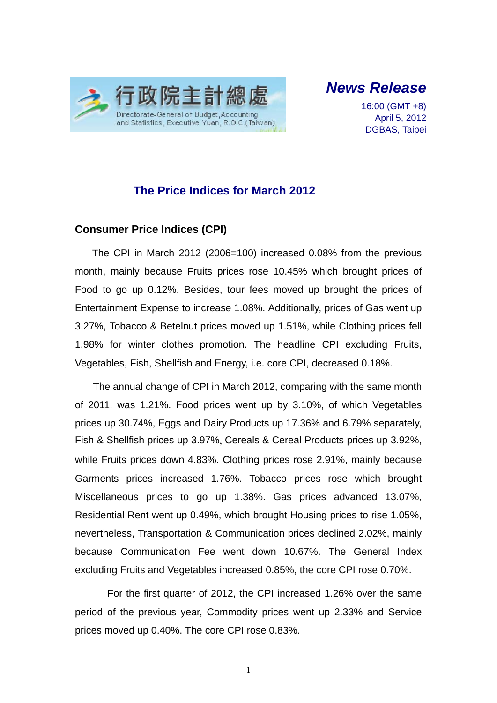

*News Release* 

16:00 (GMT +8) April 5, 2012 DGBAS, Taipei

### **The Price Indices for March 2012**

#### **Consumer Price Indices (CPI)**

The CPI in March 2012 (2006=100) increased 0.08% from the previous month, mainly because Fruits prices rose 10.45% which brought prices of Food to go up 0.12%. Besides, tour fees moved up brought the prices of Entertainment Expense to increase 1.08%. Additionally, prices of Gas went up 3.27%, Tobacco & Betelnut prices moved up 1.51%, while Clothing prices fell 1.98% for winter clothes promotion. The headline CPI excluding Fruits, Vegetables, Fish, Shellfish and Energy, i.e. core CPI, decreased 0.18%.

The annual change of CPI in March 2012, comparing with the same month of 2011, was 1.21%. Food prices went up by 3.10%, of which Vegetables prices up 30.74%, Eggs and Dairy Products up 17.36% and 6.79% separately, Fish & Shellfish prices up 3.97%, Cereals & Cereal Products prices up 3.92%, while Fruits prices down 4.83%. Clothing prices rose 2.91%, mainly because Garments prices increased 1.76%. Tobacco prices rose which brought Miscellaneous prices to go up 1.38%. Gas prices advanced 13.07%, Residential Rent went up 0.49%, which brought Housing prices to rise 1.05%, nevertheless, Transportation & Communication prices declined 2.02%, mainly because Communication Fee went down 10.67%. The General Index excluding Fruits and Vegetables increased 0.85%, the core CPI rose 0.70%.

For the first quarter of 2012, the CPI increased 1.26% over the same period of the previous year, Commodity prices went up 2.33% and Service prices moved up 0.40%. The core CPI rose 0.83%.

1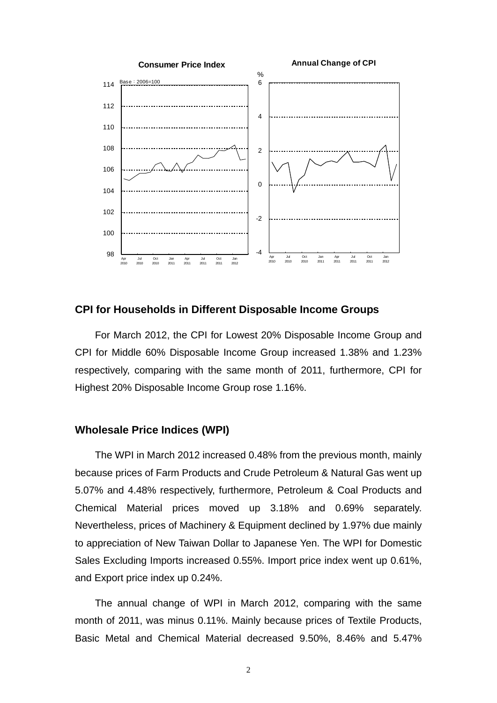

#### **CPI for Households in Different Disposable Income Groups**

For March 2012, the CPI for Lowest 20% Disposable Income Group and CPI for Middle 60% Disposable Income Group increased 1.38% and 1.23% respectively, comparing with the same month of 2011, furthermore, CPI for Highest 20% Disposable Income Group rose 1.16%.

#### **Wholesale Price Indices (WPI)**

The WPI in March 2012 increased 0.48% from the previous month, mainly because prices of Farm Products and Crude Petroleum & Natural Gas went up 5.07% and 4.48% respectively, furthermore, Petroleum & Coal Products and Chemical Material prices moved up 3.18% and 0.69% separately. Nevertheless, prices of Machinery & Equipment declined by 1.97% due mainly to appreciation of New Taiwan Dollar to Japanese Yen. The WPI for Domestic Sales Excluding Imports increased 0.55%. Import price index went up 0.61%, and Export price index up 0.24%.

The annual change of WPI in March 2012, comparing with the same month of 2011, was minus 0.11%. Mainly because prices of Textile Products, Basic Metal and Chemical Material decreased 9.50%, 8.46% and 5.47%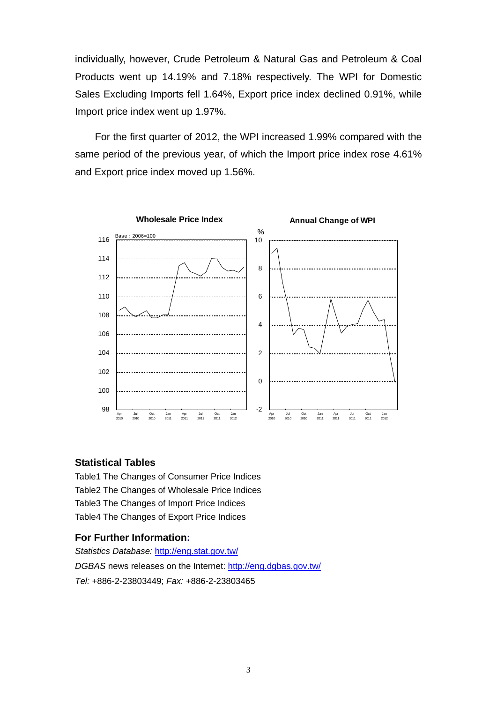individually, however, Crude Petroleum & Natural Gas and Petroleum & Coal Products went up 14.19% and 7.18% respectively. The WPI for Domestic Sales Excluding Imports fell 1.64%, Export price index declined 0.91%, while Import price index went up 1.97%.

For the first quarter of 2012, the WPI increased 1.99% compared with the same period of the previous year, of which the Import price index rose 4.61% and Export price index moved up 1.56%.



#### **Statistical Tables**

Table1 The Changes of Consumer Price Indices Table2 The Changes of Wholesale Price Indices Table3 The Changes of Import Price Indices Table4 The Changes of Export Price Indices

#### **For Further Information:**

*Statistics Database:* http://eng.stat.gov.tw/ *DGBAS* news releases on the Internet: http://eng.dgbas.gov.tw/ *Tel:* +886-2-23803449; *Fax:* +886-2-23803465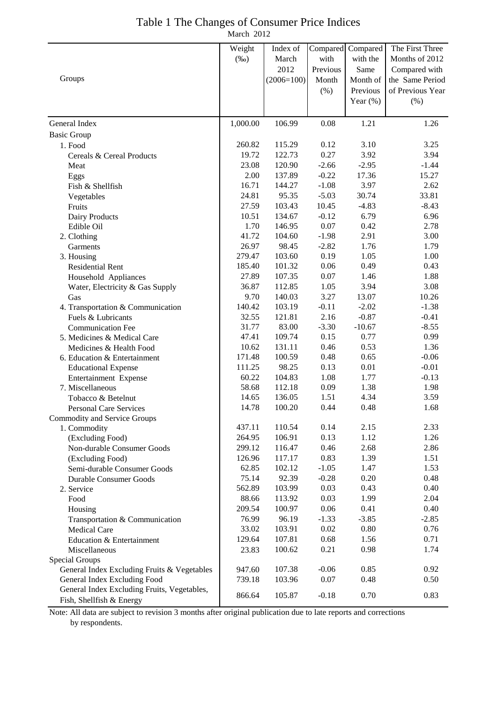| Table 1 The Changes of Consumer Price Indices |  |
|-----------------------------------------------|--|
| March 2012                                    |  |

|                                                | Weight          | Index of        |                 | Compared Compared | The First Three  |
|------------------------------------------------|-----------------|-----------------|-----------------|-------------------|------------------|
|                                                | $(\%0)$         | March           | with            | with the          | Months of 2012   |
|                                                |                 | 2012            | Previous        | Same              | Compared with    |
| Groups                                         |                 | $(2006=100)$    | Month           | Month of          | the Same Period  |
|                                                |                 |                 | (% )            | Previous          | of Previous Year |
|                                                |                 |                 |                 | Year $(\%)$       | (% )             |
| General Index                                  | 1,000.00        | 106.99          | 0.08            | 1.21              | 1.26             |
| <b>Basic Group</b>                             |                 |                 |                 |                   |                  |
| 1. Food                                        | 260.82          | 115.29          | 0.12            | 3.10              | 3.25             |
| Cereals & Cereal Products                      | 19.72           | 122.73          | 0.27            | 3.92              | 3.94             |
| Meat                                           | 23.08           | 120.90          | $-2.66$         | $-2.95$           | $-1.44$          |
| Eggs                                           | 2.00            | 137.89          | $-0.22$         | 17.36             | 15.27            |
| Fish & Shellfish                               | 16.71           | 144.27          | $-1.08$         | 3.97              | 2.62             |
| Vegetables                                     | 24.81           | 95.35           | $-5.03$         | 30.74             | 33.81            |
| Fruits                                         | 27.59           | 103.43          | 10.45           | $-4.83$           | $-8.43$          |
| Dairy Products                                 | 10.51           | 134.67          | $-0.12$         | 6.79              | 6.96             |
| Edible Oil                                     | 1.70            | 146.95          | 0.07            | 0.42              | 2.78             |
| 2. Clothing                                    | 41.72           | 104.60          | $-1.98$         | 2.91              | 3.00             |
| Garments                                       | 26.97           | 98.45           | $-2.82$         | 1.76              | 1.79             |
| 3. Housing                                     | 279.47          | 103.60          | 0.19            | 1.05              | 1.00             |
| <b>Residential Rent</b>                        | 185.40          | 101.32          | 0.06            | 0.49              | 0.43             |
| Household Appliances                           | 27.89           | 107.35          | 0.07            | 1.46              | 1.88             |
| Water, Electricity & Gas Supply                | 36.87           | 112.85          | 1.05            | 3.94              | 3.08             |
| Gas                                            | 9.70            | 140.03          | 3.27            | 13.07             | 10.26            |
| 4. Transportation & Communication              | 140.42          | 103.19          | $-0.11$         | $-2.02$           | $-1.38$          |
| Fuels & Lubricants                             | 32.55           | 121.81          | 2.16            | $-0.87$           | $-0.41$          |
| <b>Communication Fee</b>                       | 31.77           | 83.00           | $-3.30$         | $-10.67$          | $-8.55$          |
| 5. Medicines & Medical Care                    | 47.41           | 109.74          | 0.15            | 0.77              | 0.99             |
| Medicines & Health Food                        | 10.62           | 131.11          | 0.46            | 0.53              | 1.36             |
| 6. Education & Entertainment                   | 171.48          | 100.59          | 0.48            | 0.65              | $-0.06$          |
| <b>Educational Expense</b>                     | 111.25          | 98.25           | 0.13            | 0.01              | $-0.01$          |
| Entertainment Expense                          | 60.22           | 104.83          | 1.08            | 1.77              | $-0.13$          |
| 7. Miscellaneous                               | 58.68           | 112.18          | 0.09            | 1.38              | 1.98             |
| Tobacco & Betelnut                             | 14.65           | 136.05          | 1.51            | 4.34              | 3.59             |
| <b>Personal Care Services</b>                  | 14.78           | 100.20          | 0.44            | 0.48              | 1.68             |
| Commodity and Service Groups                   |                 |                 |                 |                   |                  |
| 1. Commodity                                   | 437.11          | 110.54          | 0.14            | 2.15              | 2.33             |
| (Excluding Food)                               | 264.95          | 106.91          | 0.13            | 1.12              | 1.26             |
| Non-durable Consumer Goods                     | 299.12          | 116.47          | 0.46            | 2.68              | 2.86             |
| (Excluding Food)                               | 126.96          | 117.17          | 0.83            | 1.39              | 1.51             |
| Semi-durable Consumer Goods                    | 62.85           | 102.12          | $-1.05$         | 1.47              | 1.53             |
| <b>Durable Consumer Goods</b>                  | 75.14<br>562.89 | 92.39<br>103.99 | $-0.28$<br>0.03 | 0.20<br>0.43      | 0.48<br>0.40     |
| 2. Service                                     | 88.66           | 113.92          | 0.03            | 1.99              | 2.04             |
| Food                                           | 209.54          | 100.97          | 0.06            | 0.41              | 0.40             |
| Housing                                        | 76.99           | 96.19           | $-1.33$         | $-3.85$           | $-2.85$          |
| Transportation & Communication<br>Medical Care | 33.02           | 103.91          | 0.02            | 0.80              | 0.76             |
| Education & Entertainment                      | 129.64          | 107.81          | 0.68            | 1.56              | 0.71             |
|                                                |                 | 100.62          | 0.21            | 0.98              | 1.74             |
| Miscellaneous<br>Special Groups                | 23.83           |                 |                 |                   |                  |
| General Index Excluding Fruits & Vegetables    | 947.60          | 107.38          | $-0.06$         | 0.85              | 0.92             |
| General Index Excluding Food                   | 739.18          | 103.96          | 0.07            | 0.48              | 0.50             |
| General Index Excluding Fruits, Vegetables,    |                 |                 |                 |                   |                  |
| Fish, Shellfish & Energy                       | 866.64          | 105.87          | $-0.18$         | 0.70              | 0.83             |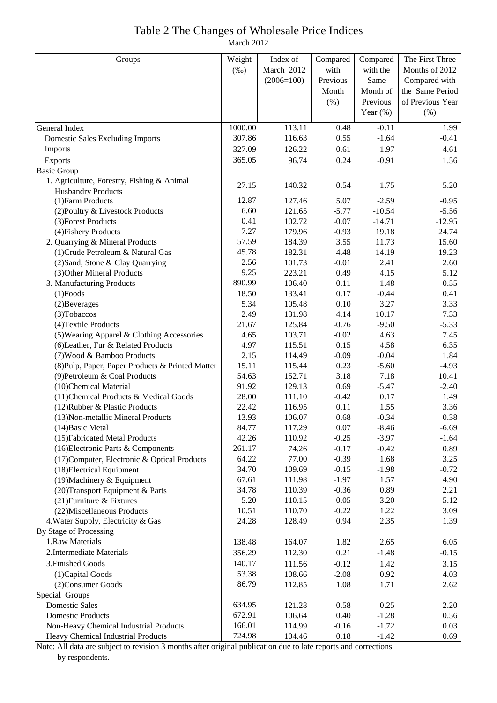# Table 2 The Changes of Wholesale Price Indices

March 2012

| Groups                                               | Weight         | Index of         | Compared     | Compared        | The First Three  |
|------------------------------------------------------|----------------|------------------|--------------|-----------------|------------------|
|                                                      | $(\%0)$        | March 2012       | with         | with the        | Months of 2012   |
|                                                      |                | $(2006=100)$     | Previous     | Same            | Compared with    |
|                                                      |                |                  | Month        | Month of        | the Same Period  |
|                                                      |                |                  | (% )         | Previous        | of Previous Year |
|                                                      |                |                  |              | Year $(\%)$     | (% )             |
| General Index                                        | 1000.00        | 113.11           | 0.48         | $-0.11$         | 1.99             |
| <b>Domestic Sales Excluding Imports</b>              | 307.86         | 116.63           | 0.55         | $-1.64$         | $-0.41$          |
| Imports                                              | 327.09         | 126.22           | 0.61         | 1.97            | 4.61             |
| Exports                                              | 365.05         | 96.74            | 0.24         | $-0.91$         | 1.56             |
| <b>Basic Group</b>                                   |                |                  |              |                 |                  |
| 1. Agriculture, Forestry, Fishing & Animal           | 27.15          | 140.32           | 0.54         | 1.75            | 5.20             |
| <b>Husbandry Products</b>                            |                |                  |              |                 |                  |
| (1) Farm Products                                    | 12.87          | 127.46           | 5.07         | $-2.59$         | $-0.95$          |
| (2) Poultry & Livestock Products                     | 6.60           | 121.65           | $-5.77$      | $-10.54$        | $-5.56$          |
| (3) Forest Products                                  | 0.41           | 102.72           | $-0.07$      | $-14.71$        | $-12.95$         |
| (4) Fishery Products                                 | 7.27           | 179.96           | $-0.93$      | 19.18           | 24.74            |
| 2. Quarrying & Mineral Products                      | 57.59          | 184.39           | 3.55         | 11.73           | 15.60            |
| (1) Crude Petroleum & Natural Gas                    | 45.78          | 182.31           | 4.48         | 14.19           | 19.23            |
| (2) Sand, Stone & Clay Quarrying                     | 2.56           | 101.73           | $-0.01$      | 2.41            | 2.60             |
| (3) Other Mineral Products                           | 9.25           | 223.21           | 0.49         | 4.15            | 5.12             |
| 3. Manufacturing Products                            | 890.99         | 106.40           | 0.11         | $-1.48$         | 0.55             |
| $(1)$ Foods                                          | 18.50          | 133.41           | 0.17         | $-0.44$         | 0.41             |
| (2) Beverages                                        | 5.34           | 105.48           | 0.10         | 3.27            | 3.33             |
| (3) Tobaccos                                         | 2.49           | 131.98           | 4.14         | 10.17           | 7.33             |
| (4) Textile Products                                 | 21.67          | 125.84           | $-0.76$      | $-9.50$         | $-5.33$          |
| (5) Wearing Apparel & Clothing Accessories           | 4.65           | 103.71           | $-0.02$      | 4.63            | 7.45             |
| (6) Leather, Fur & Related Products                  | 4.97           | 115.51           | 0.15         | 4.58            | 6.35             |
| (7) Wood & Bamboo Products                           | 2.15           | 114.49           | $-0.09$      | $-0.04$         | 1.84             |
| (8) Pulp, Paper, Paper Products & Printed Matter     | 15.11          | 115.44           | 0.23         | $-5.60$         | $-4.93$          |
| (9) Petroleum & Coal Products                        | 54.63          | 152.71           | 3.18         | 7.18            | 10.41            |
| (10)Chemical Material                                | 91.92          | 129.13           | 0.69         | $-5.47$         | $-2.40$          |
| (11) Chemical Products & Medical Goods               | 28.00          | 111.10           | $-0.42$      | 0.17            | 1.49             |
| (12) Rubber & Plastic Products                       | 22.42<br>13.93 | 116.95<br>106.07 | 0.11<br>0.68 | 1.55<br>$-0.34$ | 3.36<br>0.38     |
| (13) Non-metallic Mineral Products                   | 84.77          | 117.29           | 0.07         | $-8.46$         | $-6.69$          |
| $(14)$ Basic Metal<br>(15) Fabricated Metal Products | 42.26          | 110.92           | $-0.25$      | $-3.97$         | $-1.64$          |
| (16) Electronic Parts & Components                   | 261.17         | 74.26            | $-0.17$      | $-0.42$         | 0.89             |
| (17) Computer, Electronic & Optical Products         | 64.22          | 77.00            | $-0.39$      | 1.68            | 3.25             |
| (18) Electrical Equipment                            | 34.70          | 109.69           | $-0.15$      | $-1.98$         | $-0.72$          |
| (19) Machinery & Equipment                           | 67.61          | 111.98           | $-1.97$      | 1.57            | 4.90             |
| (20) Transport Equipment & Parts                     | 34.78          | 110.39           | $-0.36$      | 0.89            | 2.21             |
| (21) Furniture & Fixtures                            | 5.20           | 110.15           | $-0.05$      | 3.20            | 5.12             |
| (22) Miscellaneous Products                          | 10.51          | 110.70           | $-0.22$      | 1.22            | 3.09             |
| 4. Water Supply, Electricity & Gas                   | 24.28          | 128.49           | 0.94         | 2.35            | 1.39             |
| By Stage of Processing                               |                |                  |              |                 |                  |
| 1.Raw Materials                                      | 138.48         | 164.07           | 1.82         | 2.65            | 6.05             |
| 2. Intermediate Materials                            | 356.29         | 112.30           | 0.21         | $-1.48$         | $-0.15$          |
| 3. Finished Goods                                    | 140.17         | 111.56           | $-0.12$      | 1.42            | 3.15             |
| (1) Capital Goods                                    | 53.38          | 108.66           | $-2.08$      | 0.92            | 4.03             |
| (2) Consumer Goods                                   | 86.79          | 112.85           | 1.08         | 1.71            | 2.62             |
| Special Groups                                       |                |                  |              |                 |                  |
| <b>Domestic Sales</b>                                | 634.95         | 121.28           | 0.58         | 0.25            | 2.20             |
| <b>Domestic Products</b>                             | 672.91         | 106.64           | 0.40         | $-1.28$         | 0.56             |
| Non-Heavy Chemical Industrial Products               | 166.01         | 114.99           | $-0.16$      | $-1.72$         | 0.03             |
| Heavy Chemical Industrial Products                   | 724.98         | 104.46           | 0.18         | $-1.42$         | 0.69             |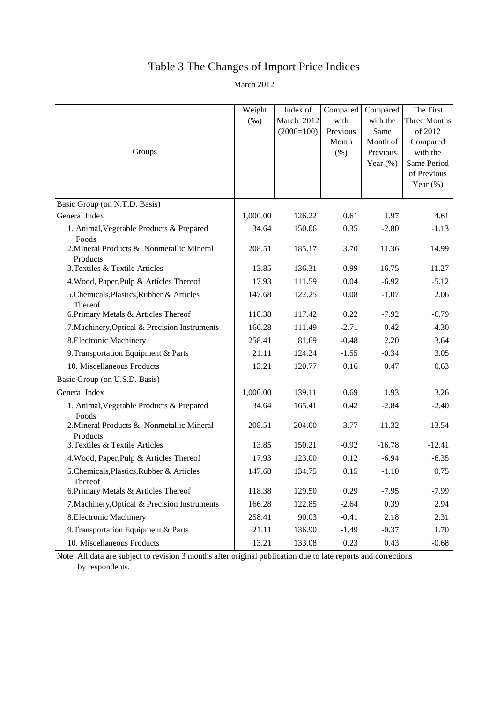## Table 3 The Changes of Import Price Indices

March 2012

| Groups                                                | Weight<br>$(\%0)$ | Index of<br>March 2012<br>$(2006=100)$ | Compared<br>with<br>Previous<br>Month<br>(%) | Compared<br>with the<br>Same<br>Month of<br>Previous<br>Year $(\% )$ | The First<br>Three Months<br>of 2012<br>Compared<br>with the<br>Same Period<br>of Previous<br>Year $(\%)$ |
|-------------------------------------------------------|-------------------|----------------------------------------|----------------------------------------------|----------------------------------------------------------------------|-----------------------------------------------------------------------------------------------------------|
| Basic Group (on N.T.D. Basis)                         |                   |                                        |                                              |                                                                      |                                                                                                           |
| General Index                                         | 1,000.00          | 126.22                                 | 0.61                                         | 1.97                                                                 | 4.61                                                                                                      |
| 1. Animal, Vegetable Products & Prepared<br>Foods     | 34.64             | 150.06                                 | 0.35                                         | $-2.80$                                                              | $-1.13$                                                                                                   |
| 2. Mineral Products & Nonmetallic Mineral<br>Products | 208.51            | 185.17                                 | 3.70                                         | 11.36                                                                | 14.99                                                                                                     |
| 3. Textiles & Textile Articles                        | 13.85             | 136.31                                 | $-0.99$                                      | $-16.75$                                                             | $-11.27$                                                                                                  |
| 4. Wood, Paper, Pulp & Articles Thereof               | 17.93             | 111.59                                 | 0.04                                         | $-6.92$                                                              | $-5.12$                                                                                                   |
| 5. Chemicals, Plastics, Rubber & Articles<br>Thereof  | 147.68            | 122.25                                 | 0.08                                         | $-1.07$                                                              | 2.06                                                                                                      |
| 6. Primary Metals & Articles Thereof                  | 118.38            | 117.42                                 | 0.22                                         | $-7.92$                                                              | $-6.79$                                                                                                   |
| 7. Machinery, Optical & Precision Instruments         | 166.28            | 111.49                                 | $-2.71$                                      | 0.42                                                                 | 4.30                                                                                                      |
| 8. Electronic Machinery                               | 258.41            | 81.69                                  | $-0.48$                                      | 2.20                                                                 | 3.64                                                                                                      |
| 9. Transportation Equipment & Parts                   | 21.11             | 124.24                                 | $-1.55$                                      | $-0.34$                                                              | 3.05                                                                                                      |
| 10. Miscellaneous Products                            | 13.21             | 120.77                                 | 0.16                                         | 0.47                                                                 | 0.63                                                                                                      |
| Basic Group (on U.S.D. Basis)                         |                   |                                        |                                              |                                                                      |                                                                                                           |
| General Index                                         | 1,000.00          | 139.11                                 | 0.69                                         | 1.93                                                                 | 3.26                                                                                                      |
| 1. Animal, Vegetable Products & Prepared<br>Foods     | 34.64             | 165.41                                 | 0.42                                         | $-2.84$                                                              | $-2.40$                                                                                                   |
| 2. Mineral Products & Nonmetallic Mineral<br>Products | 208.51            | 204.00                                 | 3.77                                         | 11.32                                                                | 13.54                                                                                                     |
| 3. Textiles & Textile Articles                        | 13.85             | 150.21                                 | $-0.92$                                      | $-16.78$                                                             | $-12.41$                                                                                                  |
| 4. Wood, Paper, Pulp & Articles Thereof               | 17.93             | 123.00                                 | 0.12                                         | $-6.94$                                                              | $-6.35$                                                                                                   |
| 5. Chemicals, Plastics, Rubber & Articles<br>Thereof  | 147.68            | 134.75                                 | 0.15                                         | $-1.10$                                                              | 0.75                                                                                                      |
| 6. Primary Metals & Articles Thereof                  | 118.38            | 129.50                                 | 0.29                                         | $-7.95$                                                              | $-7.99$                                                                                                   |
| 7. Machinery, Optical & Precision Instruments         | 166.28            | 122.85                                 | $-2.64$                                      | 0.39                                                                 | 2.94                                                                                                      |
| 8. Electronic Machinery                               | 258.41            | 90.03                                  | $-0.41$                                      | 2.18                                                                 | 2.31                                                                                                      |
| 9. Transportation Equipment & Parts                   | 21.11             | 136.90                                 | $-1.49$                                      | $-0.37$                                                              | 1.70                                                                                                      |
| 10. Miscellaneous Products                            | 13.21             | 133.08                                 | 0.23                                         | 0.43                                                                 | $-0.68$                                                                                                   |